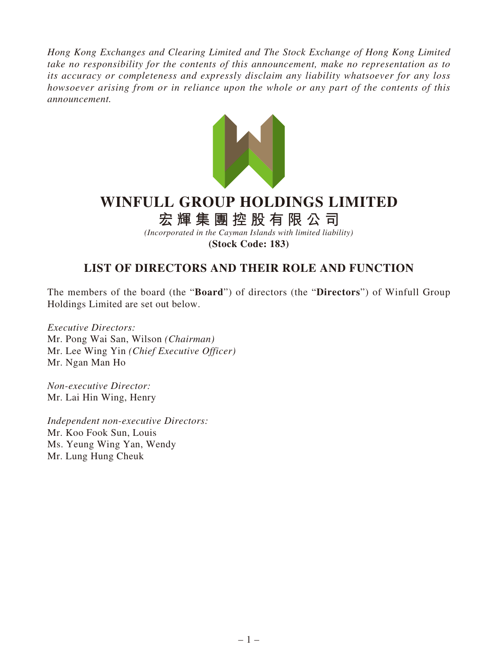*Hong Kong Exchanges and Clearing Limited and The Stock Exchange of Hong Kong Limited take no responsibility for the contents of this announcement, make no representation as to its accuracy or completeness and expressly disclaim any liability whatsoever for any loss howsoever arising from or in reliance upon the whole or any part of the contents of this announcement.*



## **WINFULL GROUP HOLDINGS LIMITED**

**宏輝集團控股有限公司**

*(Incorporated in the Cayman Islands with limited liability)* **(Stock Code: 183)**

## **LIST OF DIRECTORS AND THEIR ROLE AND FUNCTION**

The members of the board (the "**Board**") of directors (the "**Directors**") of Winfull Group Holdings Limited are set out below.

*Executive Directors:* Mr. Pong Wai San, Wilson *(Chairman)* Mr. Lee Wing Yin *(Chief Executive Officer)* Mr. Ngan Man Ho

*Non-executive Director:* Mr. Lai Hin Wing, Henry

*Independent non-executive Directors:* Mr. Koo Fook Sun, Louis Ms. Yeung Wing Yan, Wendy Mr. Lung Hung Cheuk